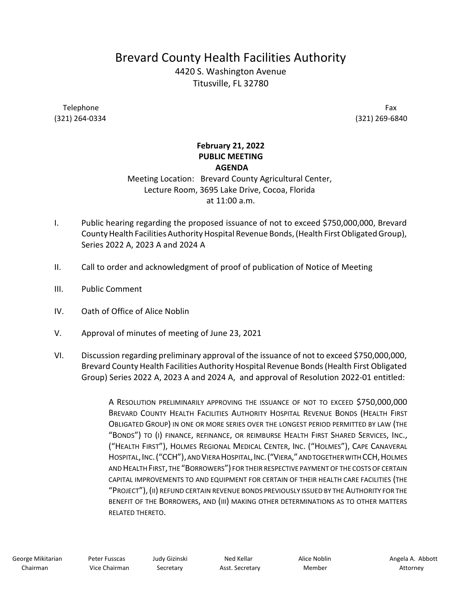## Brevard County Health Facilities Authority

4420 S. Washington Avenue Titusville, FL 32780

Telephone (321) 264-0334

 Fax (321) 269-6840

## February 21, 2022 PUBLIC MEETING AGENDA

## Meeting Location: Brevard County Agricultural Center, Lecture Room, 3695 Lake Drive, Cocoa, Florida at 11:00 a.m.

- I. Public hearing regarding the proposed issuance of not to exceed \$750,000,000, Brevard County Health Facilities Authority Hospital Revenue Bonds, (Health First Obligated Group), Series 2022 A, 2023 A and 2024 A
- II. Call to order and acknowledgment of proof of publication of Notice of Meeting
- III. Public Comment
- IV. Oath of Office of Alice Noblin
- V. Approval of minutes of meeting of June 23, 2021
- VI. Discussion regarding preliminary approval of the issuance of not to exceed \$750,000,000, Brevard County Health Facilities Authority Hospital Revenue Bonds(Health First Obligated Group) Series 2022 A, 2023 A and 2024 A, and approval of Resolution 2022-01 entitled:

 A RESOLUTION PRELIMINARILY APPROVING THE ISSUANCE OF NOT TO EXCEED \$750,000,000 BREVARD COUNTY HEALTH FACILITIES AUTHORITY HOSPITAL REVENUE BONDS (HEALTH FIRST OBLIGATED GROUP) IN ONE OR MORE SERIES OVER THE LONGEST PERIOD PERMITTED BY LAW (THE "BONDS") TO (I) FINANCE, REFINANCE, OR REIMBURSE HEALTH FIRST SHARED SERVICES, INC., ("HEALTH FIRST"), HOLMES REGIONAL MEDICAL CENTER, INC. ("HOLMES"), CAPE CANAVERAL HOSPITAL,INC.("CCH"),AND VIERAHOSPITAL,INC.("VIERA,"ANDTOGETHERWITHCCH,HOLMES AND HEALTH FIRST, THE "BORROWERS") FOR THEIR RESPECTIVE PAYMENT OF THE COSTS OF CERTAIN CAPITAL IMPROVEMENTS TO AND EQUIPMENT FOR CERTAIN OF THEIR HEALTH CARE FACILITIES (THE "PROJECT"),(II) REFUND CERTAIN REVENUE BONDS PREVIOUSLY ISSUED BY THE AUTHORITY FOR THE BENEFIT OF THE BORROWERS, AND (III) MAKING OTHER DETERMINATIONS AS TO OTHER MATTERS RELATED THERETO.

 Judy Gizinski **Secretary** 

 Ned Kellar Asst. Secretary Alice Noblin Member

 Angela A. Abbott Attorney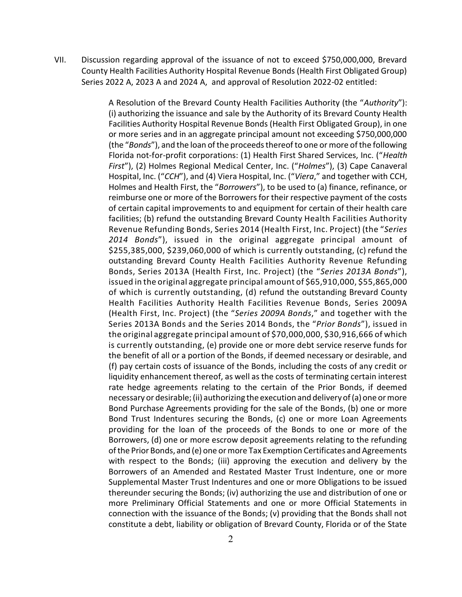VII. Discussion regarding approval of the issuance of not to exceed \$750,000,000, Brevard County Health Facilities Authority Hospital Revenue Bonds (Health First Obligated Group) Series 2022 A, 2023 A and 2024 A, and approval of Resolution 2022-02 entitled:

> A Resolution of the Brevard County Health Facilities Authority (the "Authority"): (i) authorizing the issuance and sale by the Authority of its Brevard County Health Facilities Authority Hospital Revenue Bonds (Health First Obligated Group), in one or more series and in an aggregate principal amount not exceeding \$750,000,000 (the "Bonds"), and the loan of the proceeds thereof to one or more of the following Florida not-for-profit corporations: (1) Health First Shared Services, Inc. ("Health First"), (2) Holmes Regional Medical Center, Inc. ("Holmes"), (3) Cape Canaveral Hospital, Inc. ("CCH"), and (4) Viera Hospital, Inc. ("Viera," and together with CCH, Holmes and Health First, the "Borrowers"), to be used to (a) finance, refinance, or reimburse one or more of the Borrowers for their respective payment of the costs of certain capital improvements to and equipment for certain of their health care facilities; (b) refund the outstanding Brevard County Health Facilities Authority Revenue Refunding Bonds, Series 2014 (Health First, Inc. Project) (the "Series 2014 Bonds"), issued in the original aggregate principal amount of \$255,385,000, \$239,060,000 of which is currently outstanding, (c) refund the outstanding Brevard County Health Facilities Authority Revenue Refunding Bonds, Series 2013A (Health First, Inc. Project) (the "Series 2013A Bonds"), issued in the original aggregate principal amount of \$65,910,000, \$55,865,000 of which is currently outstanding, (d) refund the outstanding Brevard County Health Facilities Authority Health Facilities Revenue Bonds, Series 2009A (Health First, Inc. Project) (the "Series 2009A Bonds," and together with the Series 2013A Bonds and the Series 2014 Bonds, the "Prior Bonds"), issued in the original aggregate principal amount of \$70,000,000, \$30,916,666 of which is currently outstanding, (e) provide one or more debt service reserve funds for the benefit of all or a portion of the Bonds, if deemed necessary or desirable, and (f) pay certain costs of issuance of the Bonds, including the costs of any credit or liquidity enhancement thereof, as well as the costs of terminating certain interest rate hedge agreements relating to the certain of the Prior Bonds, if deemed necessary or desirable; (ii) authorizing the execution and delivery of (a) one or more Bond Purchase Agreements providing for the sale of the Bonds, (b) one or more Bond Trust Indentures securing the Bonds, (c) one or more Loan Agreements providing for the loan of the proceeds of the Bonds to one or more of the Borrowers, (d) one or more escrow deposit agreements relating to the refunding of the Prior Bonds, and (e) one or more Tax Exemption Certificates and Agreements with respect to the Bonds; (iii) approving the execution and delivery by the Borrowers of an Amended and Restated Master Trust Indenture, one or more Supplemental Master Trust Indentures and one or more Obligations to be issued thereunder securing the Bonds; (iv) authorizing the use and distribution of one or more Preliminary Official Statements and one or more Official Statements in connection with the issuance of the Bonds; (v) providing that the Bonds shall not constitute a debt, liability or obligation of Brevard County, Florida or of the State